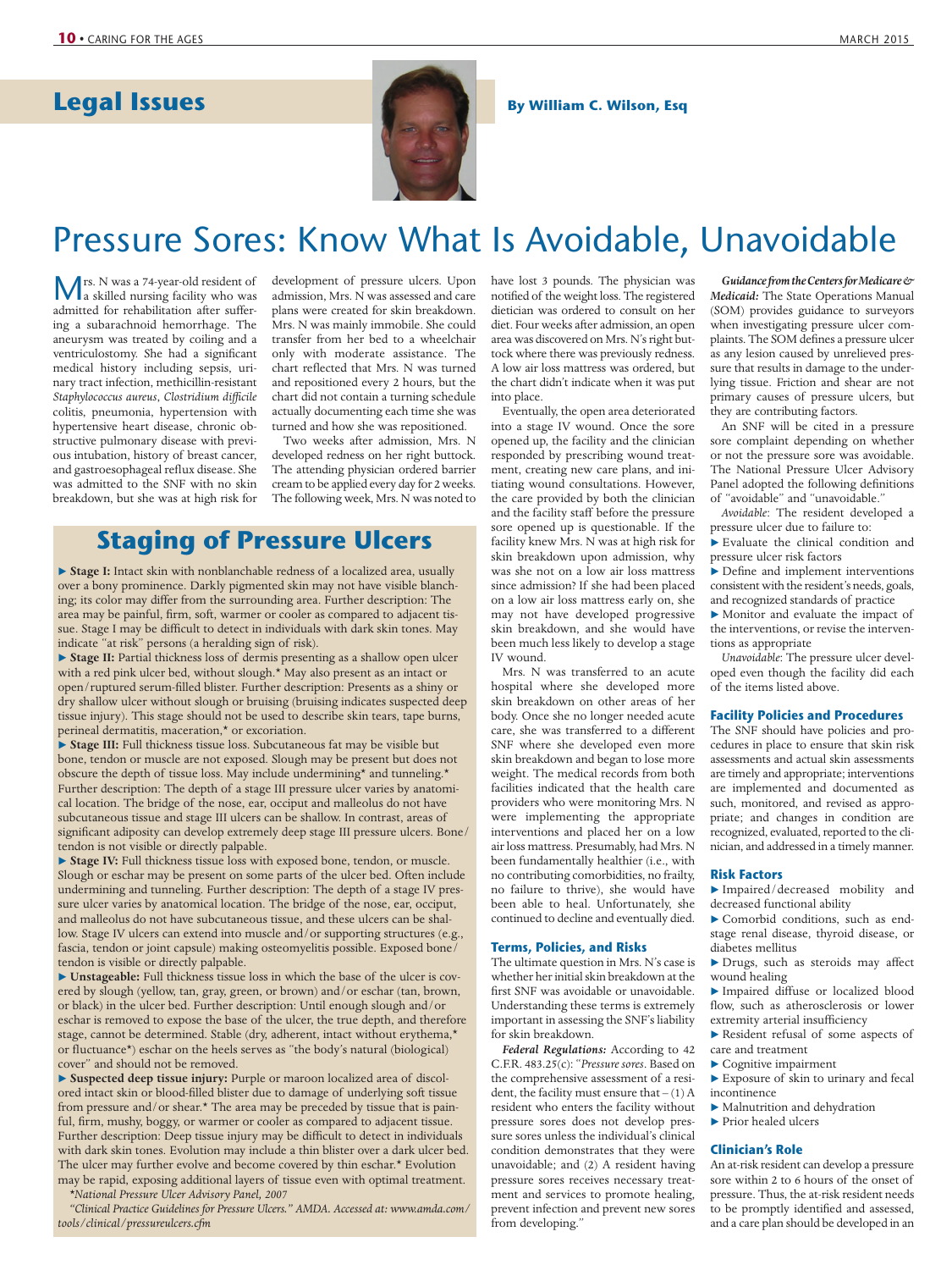## **Legal Issues By William C. Wilson, Esq**



# Pressure Sores: Know What Is Avoidable, Unavoidable

 Mrs. N was a 74-year-old resident of a skilled nursing facility who was admitted for rehabilitation after suffering a subarachnoid hemorrhage. The aneurysm was treated by coiling and a ventriculostomy. She had a significant medical history including sepsis, urinary tract infection, methicillin-resistant *Staphylococcus aureus*, *Clostridium difficile* colitis, pneumonia, hypertension with hypertensive heart disease, chronic obstructive pulmonary disease with previous intubation, history of breast cancer, and gastroesophageal reflux disease. She was admitted to the SNF with no skin breakdown, but she was at high risk for

development of pressure ulcers. Upon admission, Mrs. N was assessed and care plans were created for skin breakdown. Mrs. N was mainly immobile. She could transfer from her bed to a wheelchair only with moderate assistance. The chart reflected that Mrs. N was turned and repositioned every 2 hours, but the chart did not contain a turning schedule actually documenting each time she was turned and how she was repositioned.

Two weeks after admission, Mrs. N developed redness on her right buttock. The attending physician ordered barrier cream to be applied every day for 2 weeks. The following week, Mrs. N was noted to

## **Staging of Pressure Ulcers**

 ▶ **Stage I:** Intact skin with nonblanchable redness of a localized area, usually over a bony prominence. Darkly pigmented skin may not have visible blanching; its color may differ from the surrounding area. Further description: The area may be painful, firm, soft, warmer or cooler as compared to adjacent tissue. Stage I may be difficult to detect in individuals with dark skin tones. May indicate "at risk" persons (a heralding sign of risk).

 ▶ **Stage II:** Partial thickness loss of dermis presenting as a shallow open ulcer with a red pink ulcer bed, without slough.\* May also present as an intact or open/ruptured serum-filled blister. Further description: Presents as a shiny or dry shallow ulcer without slough or bruising (bruising indicates suspected deep tissue injury). This stage should not be used to describe skin tears, tape burns, perineal dermatitis, maceration,\* or excoriation.

 ▶ **Stage III:** Full thickness tissue loss. Subcutaneous fat may be visible but bone, tendon or muscle are not exposed. Slough may be present but does not obscure the depth of tissue loss. May include undermining\* and tunneling.\* Further description: The depth of a stage III pressure ulcer varies by anatomical location. The bridge of the nose, ear, occiput and malleolus do not have subcutaneous tissue and stage III ulcers can be shallow. In contrast, areas of significant adiposity can develop extremely deep stage III pressure ulcers. Bone/ tendon is not visible or directly palpable.

 ▶ **Stage IV:** Full thickness tissue loss with exposed bone, tendon, or muscle. Slough or eschar may be present on some parts of the ulcer bed. Often include undermining and tunneling. Further description: The depth of a stage IV pressure ulcer varies by anatomical location. The bridge of the nose, ear, occiput, and malleolus do not have subcutaneous tissue, and these ulcers can be shallow. Stage IV ulcers can extend into muscle and/or supporting structures (e.g., fascia, tendon or joint capsule) making osteomyelitis possible. Exposed bone/ tendon is visible or directly palpable.

 ▶ **Unstageable:** Full thickness tissue loss in which the base of the ulcer is covered by slough (yellow, tan, gray, green, or brown) and/or eschar (tan, brown, or black) in the ulcer bed. Further description: Until enough slough and/or eschar is removed to expose the base of the ulcer, the true depth, and therefore stage, cannot be determined. Stable (dry, adherent, intact without erythema,\* or fluctuance\*) eschar on the heels serves as "the body's natural (biological) cover" and should not be removed.

 ▶ **Suspected deep tissue injury:** Purple or maroon localized area of discolored intact skin or blood-filled blister due to damage of underlying soft tissue from pressure and/or shear.\* The area may be preceded by tissue that is painful, firm, mushy, boggy, or warmer or cooler as compared to adjacent tissue. Further description: Deep tissue injury may be difficult to detect in individuals with dark skin tones. Evolution may include a thin blister over a dark ulcer bed. The ulcer may further evolve and become covered by thin eschar.\* Evolution may be rapid, exposing additional layers of tissue even with optimal treatment.

*\*National Pressure Ulcer Advisory Panel, 2007 "Clinical Practice Guidelines for Pressure Ulcers." AMDA. Accessed at: www.amda.com/*

*tools/clinical/pressureulcers.cfm*

have lost 3 pounds. The physician was notified of the weight loss. The registered dietician was ordered to consult on her diet. Four weeks after admission, an open area was discovered on Mrs. N's right buttock where there was previously redness. A low air loss mattress was ordered, but the chart didn't indicate when it was put into place.

Eventually, the open area deteriorated into a stage IV wound. Once the sore opened up, the facility and the clinician responded by prescribing wound treatment, creating new care plans, and initiating wound consultations. However, the care provided by both the clinician and the facility staff before the pressure sore opened up is questionable. If the facility knew Mrs. N was at high risk for skin breakdown upon admission, why was she not on a low air loss mattress since admission? If she had been placed on a low air loss mattress early on, she may not have developed progressive skin breakdown, and she would have been much less likely to develop a stage IV wound.

Mrs. N was transferred to an acute hospital where she developed more skin breakdown on other areas of her body. Once she no longer needed acute care, she was transferred to a different SNF where she developed even more skin breakdown and began to lose more weight. The medical records from both facilities indicated that the health care providers who were monitoring Mrs. N were implementing the appropriate interventions and placed her on a low air loss mattress. Presumably, had Mrs. N been fundamentally healthier (i.e., with no contributing comorbidities, no frailty, no failure to thrive), she would have been able to heal. Unfortunately, she continued to decline and eventually died.

#### **Terms, Policies, and Risks**

The ultimate question in Mrs. N's case is whether her initial skin breakdown at the first SNF was avoidable or unavoidable. Understanding these terms is extremely important in assessing the SNF's liability for skin breakdown.

*Federal Regulations:* According to 42 C.F.R. 483.25(c): " *Pressure sores*. Based on the comprehensive assessment of a resident, the facility must ensure that  $- (1)$  A resident who enters the facility without pressure sores does not develop pressure sores unless the individual's clinical condition demonstrates that they were unavoidable; and (2) A resident having pressure sores receives necessary treatment and services to promote healing, prevent infection and prevent new sores from developing."

*Guidance from the Centers for Medicare & Medicaid:* The State Operations Manual (SOM) provides guidance to surveyors when investigating pressure ulcer complaints. The SOM defines a pressure ulcer as any lesion caused by unrelieved pressure that results in damage to the underlying tissue. Friction and shear are not primary causes of pressure ulcers, but they are contributing factors.

An SNF will be cited in a pressure sore complaint depending on whether or not the pressure sore was avoidable. The National Pressure Ulcer Advisory Panel adopted the following definitions of "avoidable" and "unavoidable."

Avoidable: The resident developed a pressure ulcer due to failure to:

 ▶ Evaluate the clinical condition and pressure ulcer risk factors

 $\blacktriangleright$  Define and implement interventions consistent with the resident's needs, goals, and recognized standards of practice

 ▶ Monitor and evaluate the impact of the interventions, or revise the interventions as appropriate

Unavoidable: The pressure ulcer developed even though the facility did each of the items listed above.

### **Facility Policies and Procedures**

The SNF should have policies and procedures in place to ensure that skin risk assessments and actual skin assessments are timely and appropriate; interventions are implemented and documented as such, monitored, and revised as appropriate; and changes in condition are recognized, evaluated, reported to the clinician, and addressed in a timely manner.

#### **Risk Factors**

 ▶ Impaired/decreased mobility and decreased functional ability

- ▶ Comorbid conditions, such as endstage renal disease, thyroid disease, or diabetes mellitus
- ▶ Drugs, such as steroids may affect wound healing

Impaired diffuse or localized blood flow, such as atherosclerosis or lower extremity arterial insufficiency

 ▶ Resident refusal of some aspects of care and treatment

▶ Cognitive impairment

 ▶ Exposure of skin to urinary and fecal incontinence

- ▶ Malnutrition and dehydration
- ▶ Prior healed ulcers

#### **Clinician's Role**

An at-risk resident can develop a pressure sore within 2 to 6 hours of the onset of pressure. Thus, the at-risk resident needs to be promptly identified and assessed, and a care plan should be developed in an